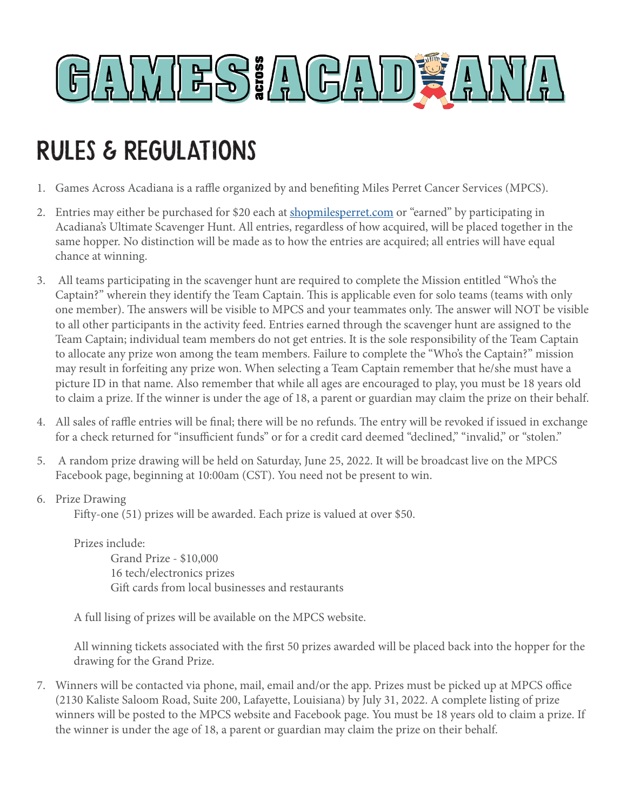

## Rules & regulations

- 1. Games Across Acadiana is a raffle organized by and benefiting Miles Perret Cancer Services (MPCS).
- 2. Entries may either be purchased for \$20 each at shopmiles perret.com or "earned" by participating in Acadiana's Ultimate Scavenger Hunt. All entries, regardless of how acquired, will be placed together in the same hopper. No distinction will be made as to how the entries are acquired; all entries will have equal chance at winning.
- 3. All teams participating in the scavenger hunt are required to complete the Mission entitled "Who's the Captain?" wherein they identify the Team Captain. This is applicable even for solo teams (teams with only one member). The answers will be visible to MPCS and your teammates only. The answer will NOT be visible to all other participants in the activity feed. Entries earned through the scavenger hunt are assigned to the Team Captain; individual team members do not get entries. It is the sole responsibility of the Team Captain to allocate any prize won among the team members. Failure to complete the "Who's the Captain?" mission may result in forfeiting any prize won. When selecting a Team Captain remember that he/she must have a picture ID in that name. Also remember that while all ages are encouraged to play, you must be 18 years old to claim a prize. If the winner is under the age of 18, a parent or guardian may claim the prize on their behalf.
- 4. All sales of raffle entries will be final; there will be no refunds. The entry will be revoked if issued in exchange for a check returned for "insufficient funds" or for a credit card deemed "declined," "invalid," or "stolen."
- 5. A random prize drawing will be held on Saturday, June 25, 2022. It will be broadcast live on the MPCS Facebook page, beginning at 10:00am (CST). You need not be present to win.
- 6. Prize Drawing

Fifty-one (51) prizes will be awarded. Each prize is valued at over \$50.

Prizes include: Grand Prize - \$10,000 16 tech/electronics prizes Gift cards from local businesses and restaurants

A full lising of prizes will be available on the MPCS website.

All winning tickets associated with the first 50 prizes awarded will be placed back into the hopper for the drawing for the Grand Prize.

7. Winners will be contacted via phone, mail, email and/or the app. Prizes must be picked up at MPCS office (2130 Kaliste Saloom Road, Suite 200, Lafayette, Louisiana) by July 31, 2022. A complete listing of prize winners will be posted to the MPCS website and Facebook page. You must be 18 years old to claim a prize. If the winner is under the age of 18, a parent or guardian may claim the prize on their behalf.